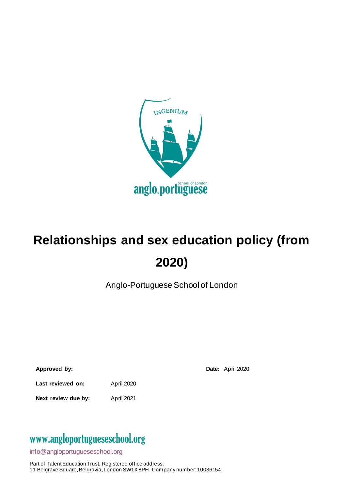

# **Relationships and sex education policy (from 2020)**

Anglo-Portuguese School of London

| Approved by: |  |
|--------------|--|

**Date:** April 2020

Last reviewed on: April 2020

**Next review due by:** April 2021

### www[.angloportugueseschool.org](https://angloportugueseschool.org/)

[info@a](mailto:info@)ngloportugueseschool.org

Part of Talent Education Trust. Registered office address: 11 Belgrave Square, Belgravia, London SW1X 8PH. Company number: 10036154.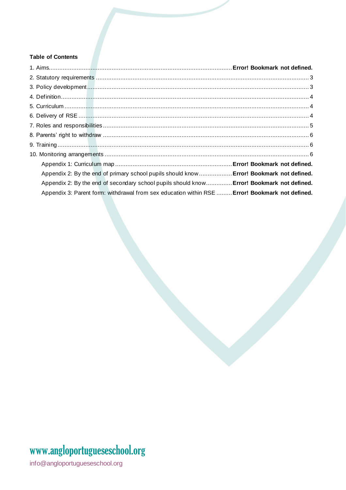#### **Table of Contents**

| Appendix 2: By the end of primary school pupils should know  Error! Bookmark not defined.       |  |
|-------------------------------------------------------------------------------------------------|--|
| Appendix 2: By the end of secondary school pupils should know Error! Bookmark not defined.      |  |
| Appendix 3: Parent form: withdrawal from sex education within RSE  Error! Bookmark not defined. |  |

# www.angloportugueseschool.org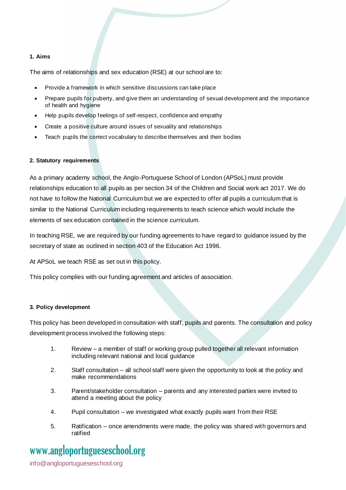#### **1. Aims**

The aims of relationships and sex education (RSE) at our school are to:

- Provide a framework in which sensitive discussions can take place
- Prepare pupils for puberty, and give them an understanding of sexual development and the importance of health and hygiene
- Help pupils develop feelings of self-respect, confidence and empathy
- Create a positive culture around issues of sexuality and relationships
- Teach pupils the correct vocabulary to describe themselves and their bodies

#### <span id="page-2-0"></span>**2. Statutory requirements**

As a primary academy school, the Anglo-Portuguese School of London (APSoL) must provide relationships education to all pupils as per section 34 of th[e Children and Social work act 2017.](http://www.legislation.gov.uk/ukpga/2017/16/section/34/enacted) We do not have to follow the National Curriculum but we are expected to offer all pupils a curriculum that is similar to the National Curriculum including requirements to teach science which would include the elements of sex education contained in the science curriculum.

In teaching RSE, we are required by our funding agreements to have regard to [guidance](https://www.gov.uk/government/consultations/relationships-and-sex-education-and-health-education) issued by the secretary of state as outlined in section 403 of the [Education Act 1996.](http://www.legislation.gov.uk/ukpga/1996/56/contents)

At APSoL we teach RSE as set out in this policy.

This policy complies with our funding agreement and articles of association.

#### <span id="page-2-1"></span>**3. Policy development**

This policy has been developed in consultation with staff, pupils and parents. The consultation and policy development process involved the following steps:

- 1. Review a member of staff or working group pulled together all relevant information including relevant national and local guidance
- 2. Staff consultation all school staff were given the opportunity to look at the policy and make recommendations
- 3. Parent/stakeholder consultation parents and any interested parties were invited to attend a meeting about the policy
- 4. Pupil consultation we investigated what exactly pupils want from their RSE
- 5. Ratification once amendments were made, the policy was shared with governors and ratified

### www[.angloportugueseschool.org](https://angloportugueseschool.org/)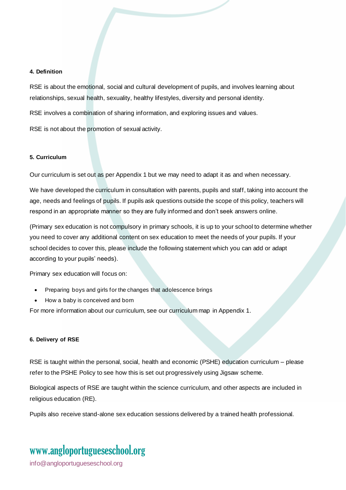#### <span id="page-3-0"></span>**4. Definition**

RSE is about the emotional, social and cultural development of pupils, and involves learning about relationships, sexual health, sexuality, healthy lifestyles, diversity and personal identity.

RSE involves a combination of sharing information, and exploring issues and values.

RSE is not about the promotion of sexual activity.

#### <span id="page-3-1"></span>**5. Curriculum**

Our curriculum is set out as per Appendix 1 but we may need to adapt it as and when necessary.

We have developed the curriculum in consultation with parents, pupils and staff, taking into account the age, needs and feelings of pupils. If pupils ask questions outside the scope of this policy, teachers will respond in an appropriate manner so they are fully informed and don't seek answers online.

(Primary sex education is not compulsory in primary schools, it is up to your school to determine whether you need to cover any additional content on sex education to meet the needs of your pupils. If your school decides to cover this, please include the following statement which you can add or adapt according to your pupils' needs).

Primary sex education will focus on:

- Preparing boys and girls for the changes that adolescence brings
- How a baby is conceived and born

For more information about our curriculum, see our curriculum map in Appendix 1.

#### <span id="page-3-2"></span>**6. Delivery of RSE**

RSE is taught within the personal, social, health and economic (PSHE) education curriculum – please refer to the PSHE Policy to see how this is set out progressively using Jigsaw scheme.

Biological aspects of RSE are taught within the science curriculum, and other aspects are included in religious education (RE).

Pupils also receive stand-alone sex education sessions delivered by a trained health professional.

### www[.angloportugueseschool.org](https://angloportugueseschool.org/)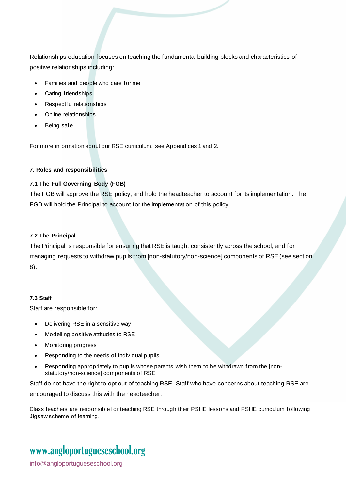Relationships education focuses on teaching the fundamental building blocks and characteristics of positive relationships including:

- Families and people who care for me
- Caring friendships
- Respectful relationships
- Online relationships
- Being safe

For more information about our RSE curriculum, see Appendices 1 and 2.

#### <span id="page-4-0"></span>**7. Roles and responsibilities**

#### **7.1 The Full Governing Body (FGB)**

The FGB will approve the RSE policy, and hold the headteacher to account for its implementation. The FGB will hold the Principal to account for the implementation of this policy.

#### **7.2 The Principal**

The Principal is responsible for ensuring that RSE is taught consistently across the school, and for managing requests to withdraw pupils from [non-statutory/non-science] components of RSE (see section 8).

#### **7.3 Staff**

Staff are responsible for:

- Delivering RSE in a sensitive way
- Modelling positive attitudes to RSE
- Monitoring progress
- Responding to the needs of individual pupils
- Responding appropriately to pupils whose parents wish them to be withdrawn from the [nonstatutory/non-science] components of RSE

Staff do not have the right to opt out of teaching RSE. Staff who have concerns about teaching RSE are encouraged to discuss this with the headteacher.

Class teachers are responsible for teaching RSE through their PSHE lessons and PSHE curriculum following Jigsaw scheme of learning.

# www[.angloportugueseschool.org](https://angloportugueseschool.org/)